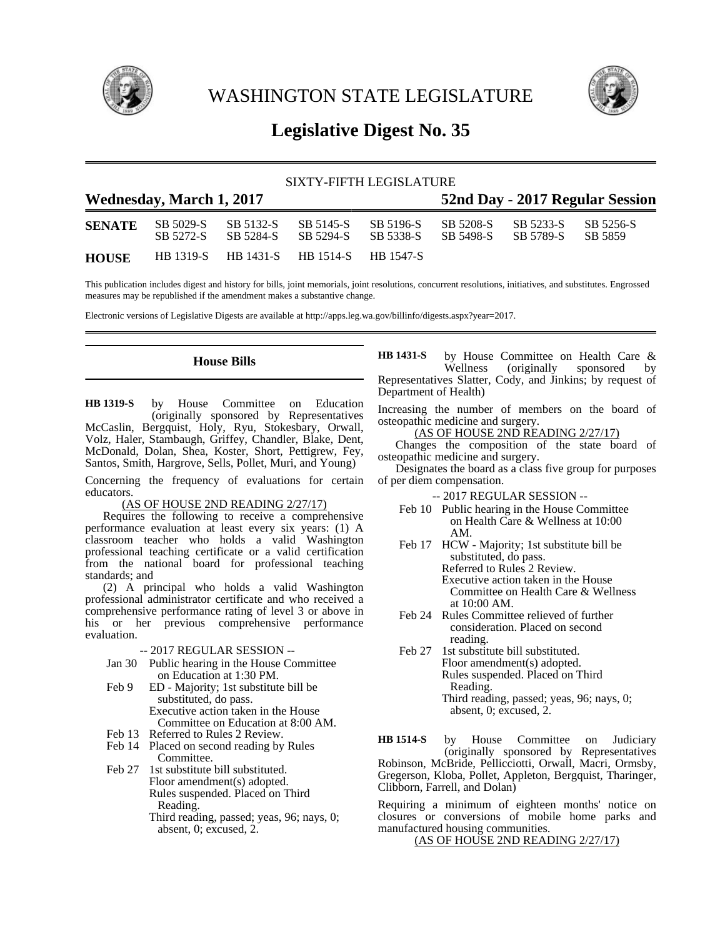

WASHINGTON STATE LEGISLATURE



# **Legislative Digest No. 35**

|  | SIXTY-FIFTH LEGISLATURE |  |
|--|-------------------------|--|
|  |                         |  |

| <b>Wednesday, March 1, 2017</b> |           |                                         |                        |                        | 52nd Day - 2017 Regular Session |                     |                      |  |
|---------------------------------|-----------|-----------------------------------------|------------------------|------------------------|---------------------------------|---------------------|----------------------|--|
| <b>SENATE</b>                   | SB 5272-S | SB 5029-S SB 5132-S<br>SB 5284-S        | SB 5145-S<br>SB 5294-S | SB 5196-S<br>SB 5338-S | SB 5498-S SB 5789-S             | SB 5208-S SB 5233-S | SB 5256-S<br>SB 5859 |  |
| <b>HOUSE</b>                    |           | HB 1319-S HB 1431-S HB 1514-S HB 1547-S |                        |                        |                                 |                     |                      |  |

This publication includes digest and history for bills, joint memorials, joint resolutions, concurrent resolutions, initiatives, and substitutes. Engrossed measures may be republished if the amendment makes a substantive change.

Electronic versions of Legislative Digests are available at http://apps.leg.wa.gov/billinfo/digests.aspx?year=2017.

## **House Bills**

by House Committee on Education (originally sponsored by Representatives McCaslin, Bergquist, Holy, Ryu, Stokesbary, Orwall, Volz, Haler, Stambaugh, Griffey, Chandler, Blake, Dent, McDonald, Dolan, Shea, Koster, Short, Pettigrew, Fey, Santos, Smith, Hargrove, Sells, Pollet, Muri, and Young) **HB 1319-S**

Concerning the frequency of evaluations for certain educators.

#### (AS OF HOUSE 2ND READING 2/27/17)

Requires the following to receive a comprehensive performance evaluation at least every six years: (1) A classroom teacher who holds a valid Washington professional teaching certificate or a valid certification from the national board for professional teaching standards; and

(2) A principal who holds a valid Washington professional administrator certificate and who received a comprehensive performance rating of level 3 or above in his or her previous comprehensive performance evaluation.

#### -- 2017 REGULAR SESSION --

- Jan 30 Public hearing in the House Committee on Education at 1:30 PM.
- Feb 9 ED Majority; 1st substitute bill be substituted, do pass. Executive action taken in the House Committee on Education at 8:00 AM.
- Feb 13 Referred to Rules 2 Review.
- Feb 14 Placed on second reading by Rules Committee.
- Feb 27 1st substitute bill substituted. Floor amendment(s) adopted. Rules suspended. Placed on Third Reading. Third reading, passed; yeas, 96; nays, 0;
	- absent, 0; excused, 2.

by House Committee on Health Care & Wellness (originally sponsored by Representatives Slatter, Cody, and Jinkins; by request of Department of Health) **HB 1431-S**

Increasing the number of members on the board of osteopathic medicine and surgery.

(AS OF HOUSE 2ND READING 2/27/17)

Changes the composition of the state board of osteopathic medicine and surgery.

Designates the board as a class five group for purposes of per diem compensation.

-- 2017 REGULAR SESSION --

- Feb 10 Public hearing in the House Committee on Health Care & Wellness at 10:00 AM.
- Feb 17 HCW Majority; 1st substitute bill be substituted, do pass. Referred to Rules 2 Review. Executive action taken in the House Committee on Health Care & Wellness at 10:00 AM.
- Feb 24 Rules Committee relieved of further consideration. Placed on second reading.
- Feb 27 1st substitute bill substituted. Floor amendment(s) adopted. Rules suspended. Placed on Third Reading. Third reading, passed; yeas, 96; nays, 0;

absent, 0; excused, 2.

by House Committee on Judiciary (originally sponsored by Representatives Robinson, McBride, Pellicciotti, Orwall, Macri, Ormsby, Gregerson, Kloba, Pollet, Appleton, Bergquist, Tharinger, Clibborn, Farrell, and Dolan) **HB 1514-S**

Requiring a minimum of eighteen months' notice on closures or conversions of mobile home parks and manufactured housing communities.

(AS OF HOUSE 2ND READING 2/27/17)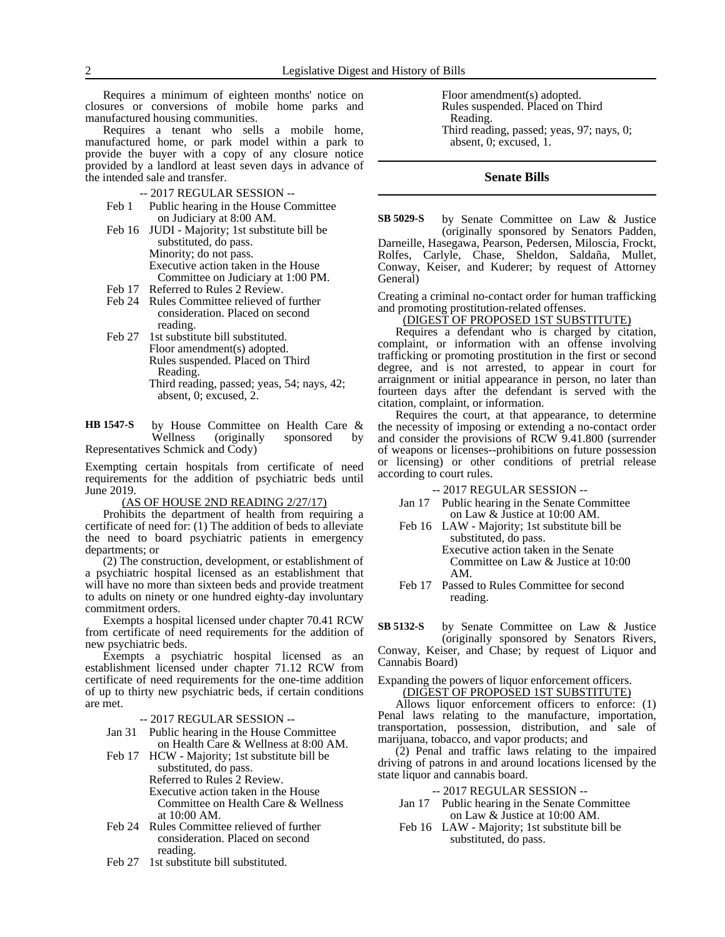Requires a minimum of eighteen months' notice on closures or conversions of mobile home parks and manufactured housing communities.

Requires a tenant who sells a mobile home, manufactured home, or park model within a park to provide the buyer with a copy of any closure notice provided by a landlord at least seven days in advance of the intended sale and transfer.

- -- 2017 REGULAR SESSION --
- Feb 1 Public hearing in the House Committee on Judiciary at 8:00 AM.
- Feb 16 JUDI Majority; 1st substitute bill be substituted, do pass. Minority; do not pass. Executive action taken in the House Committee on Judiciary at 1:00 PM. Feb 17 Referred to Rules 2 Review.
- Feb 24 Rules Committee relieved of further consideration. Placed on second reading.
- Feb 27 1st substitute bill substituted. Floor amendment(s) adopted. Rules suspended. Placed on Third Reading. Third reading, passed; yeas, 54; nays, 42; absent, 0; excused, 2.

by House Committee on Health Care &<br>Wellness (originally sponsored by Wellness (originally sponsored by Representatives Schmick and Cody) **HB 1547-S**

Exempting certain hospitals from certificate of need requirements for the addition of psychiatric beds until June 2019.

(AS OF HOUSE 2ND READING 2/27/17)

Prohibits the department of health from requiring a certificate of need for: (1) The addition of beds to alleviate the need to board psychiatric patients in emergency departments; or

(2) The construction, development, or establishment of a psychiatric hospital licensed as an establishment that will have no more than sixteen beds and provide treatment to adults on ninety or one hundred eighty-day involuntary commitment orders.

Exempts a hospital licensed under chapter 70.41 RCW from certificate of need requirements for the addition of new psychiatric beds.

Exempts a psychiatric hospital licensed as an establishment licensed under chapter 71.12 RCW from certificate of need requirements for the one-time addition of up to thirty new psychiatric beds, if certain conditions are met.

-- 2017 REGULAR SESSION --

Jan 31 Public hearing in the House Committee on Health Care & Wellness at 8:00 AM.

Feb 17 HCW - Majority; 1st substitute bill be substituted, do pass. Referred to Rules 2 Review. Executive action taken in the House Committee on Health Care & Wellness at 10:00 AM.

- Feb 24 Rules Committee relieved of further consideration. Placed on second reading.
- Feb 27 1st substitute bill substituted.

Floor amendment(s) adopted. Rules suspended. Placed on Third Reading. Third reading, passed; yeas, 97; nays, 0; absent, 0; excused, 1.

### **Senate Bills**

by Senate Committee on Law & Justice (originally sponsored by Senators Padden, Darneille, Hasegawa, Pearson, Pedersen, Miloscia, Frockt, Rolfes, Carlyle, Chase, Sheldon, Saldaña, Mullet, Conway, Keiser, and Kuderer; by request of Attorney General) **SB 5029-S**

Creating a criminal no-contact order for human trafficking and promoting prostitution-related offenses.

#### (DIGEST OF PROPOSED 1ST SUBSTITUTE)

Requires a defendant who is charged by citation, complaint, or information with an offense involving trafficking or promoting prostitution in the first or second degree, and is not arrested, to appear in court for arraignment or initial appearance in person, no later than fourteen days after the defendant is served with the citation, complaint, or information.

Requires the court, at that appearance, to determine the necessity of imposing or extending a no-contact order and consider the provisions of RCW 9.41.800 (surrender of weapons or licenses--prohibitions on future possession or licensing) or other conditions of pretrial release according to court rules.

-- 2017 REGULAR SESSION --

- Jan 17 Public hearing in the Senate Committee on Law & Justice at 10:00 AM.
- Feb 16 LAW Majority; 1st substitute bill be substituted, do pass. Executive action taken in the Senate Committee on Law & Justice at 10:00 AM.
- Feb 17 Passed to Rules Committee for second reading.

by Senate Committee on Law & Justice (originally sponsored by Senators Rivers, Conway, Keiser, and Chase; by request of Liquor and Cannabis Board) **SB 5132-S**

Expanding the powers of liquor enforcement officers.

(DIGEST OF PROPOSED 1ST SUBSTITUTE) Allows liquor enforcement officers to enforce: (1) Penal laws relating to the manufacture, importation, transportation, possession, distribution, and sale of marijuana, tobacco, and vapor products; and

(2) Penal and traffic laws relating to the impaired driving of patrons in and around locations licensed by the state liquor and cannabis board.

#### -- 2017 REGULAR SESSION --

- Jan 17 Public hearing in the Senate Committee on Law & Justice at 10:00 AM.
- Feb 16 LAW Majority; 1st substitute bill be substituted, do pass.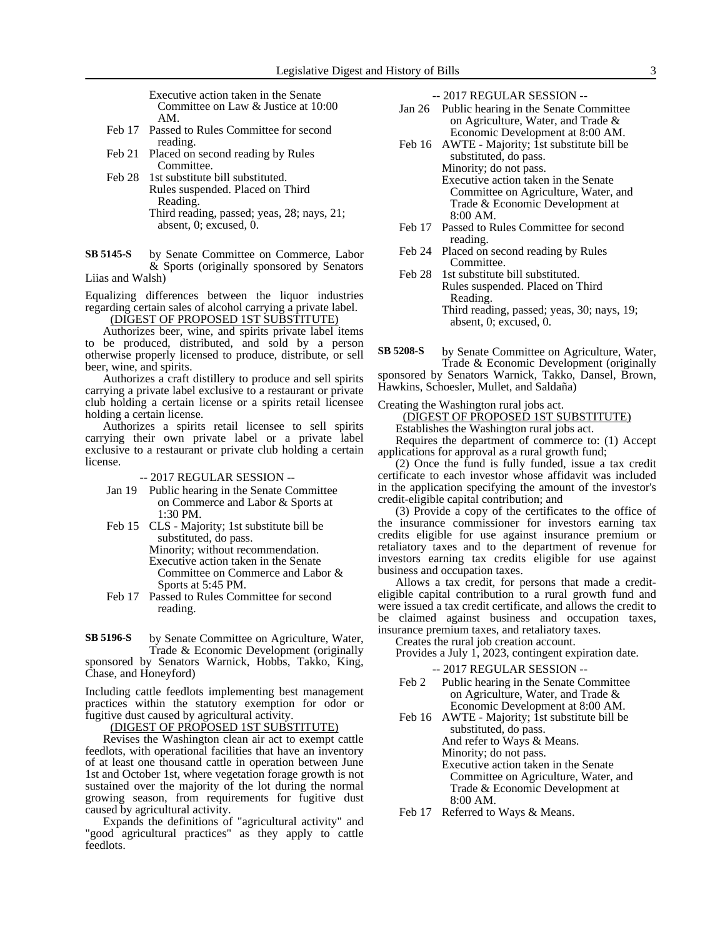Executive action taken in the Senate Committee on Law & Justice at 10:00 AM.

- Feb 17 Passed to Rules Committee for second reading.
- Feb 21 Placed on second reading by Rules Committee.
- Feb 28 1st substitute bill substituted. Rules suspended. Placed on Third Reading. Third reading, passed; yeas, 28; nays, 21; absent, 0; excused, 0.
- by Senate Committee on Commerce, Labor & Sports (originally sponsored by Senators **SB 5145-S**

Liias and Walsh)

Equalizing differences between the liquor industries regarding certain sales of alcohol carrying a private label.

(DIGEST OF PROPOSED 1ST SUBSTITUTE)

Authorizes beer, wine, and spirits private label items to be produced, distributed, and sold by a person otherwise properly licensed to produce, distribute, or sell beer, wine, and spirits.

Authorizes a craft distillery to produce and sell spirits carrying a private label exclusive to a restaurant or private club holding a certain license or a spirits retail licensee holding a certain license.

Authorizes a spirits retail licensee to sell spirits carrying their own private label or a private label exclusive to a restaurant or private club holding a certain license.

-- 2017 REGULAR SESSION --

- Jan 19 Public hearing in the Senate Committee on Commerce and Labor & Sports at 1:30 PM.
- Feb 15 CLS Majority; 1st substitute bill be substituted, do pass. Minority; without recommendation. Executive action taken in the Senate Committee on Commerce and Labor & Sports at 5:45 PM.
- Feb 17 Passed to Rules Committee for second reading.
- by Senate Committee on Agriculture, Water, Trade & Economic Development (originally **SB 5196-S**

sponsored by Senators Warnick, Hobbs, Takko, King, Chase, and Honeyford)

Including cattle feedlots implementing best management practices within the statutory exemption for odor or fugitive dust caused by agricultural activity.

(DIGEST OF PROPOSED 1ST SUBSTITUTE)

Revises the Washington clean air act to exempt cattle feedlots, with operational facilities that have an inventory of at least one thousand cattle in operation between June 1st and October 1st, where vegetation forage growth is not sustained over the majority of the lot during the normal growing season, from requirements for fugitive dust caused by agricultural activity.

Expands the definitions of "agricultural activity" and "good agricultural practices" as they apply to cattle feedlots.

-- 2017 REGULAR SESSION --

- Jan 26 Public hearing in the Senate Committee on Agriculture, Water, and Trade & Economic Development at 8:00 AM.
- Feb 16 AWTE Majority; 1st substitute bill be substituted, do pass. Minority; do not pass. Executive action taken in the Senate
	- Committee on Agriculture, Water, and Trade & Economic Development at 8:00 AM.
- Feb 17 Passed to Rules Committee for second reading.
- Feb 24 Placed on second reading by Rules Committee.
- Feb 28 1st substitute bill substituted. Rules suspended. Placed on Third Reading. Third reading, passed; yeas, 30; nays, 19; absent, 0; excused, 0.
- by Senate Committee on Agriculture, Water, Trade & Economic Development (originally **SB 5208-S**

sponsored by Senators Warnick, Takko, Dansel, Brown, Hawkins, Schoesler, Mullet, and Saldaña)

Creating the Washington rural jobs act.

## (DIGEST OF PROPOSED 1ST SUBSTITUTE)

Establishes the Washington rural jobs act.

Requires the department of commerce to: (1) Accept applications for approval as a rural growth fund;

(2) Once the fund is fully funded, issue a tax credit certificate to each investor whose affidavit was included in the application specifying the amount of the investor's credit-eligible capital contribution; and

(3) Provide a copy of the certificates to the office of the insurance commissioner for investors earning tax credits eligible for use against insurance premium or retaliatory taxes and to the department of revenue for investors earning tax credits eligible for use against business and occupation taxes.

Allows a tax credit, for persons that made a crediteligible capital contribution to a rural growth fund and were issued a tax credit certificate, and allows the credit to be claimed against business and occupation taxes, insurance premium taxes, and retaliatory taxes.

Creates the rural job creation account.

- Provides a July 1, 2023, contingent expiration date.
	- -- 2017 REGULAR SESSION --
- Feb 2 Public hearing in the Senate Committee on Agriculture, Water, and Trade & Economic Development at 8:00 AM.
- Feb 16 AWTE Majority; 1st substitute bill be substituted, do pass. And refer to Ways & Means.

Minority; do not pass.

Executive action taken in the Senate Committee on Agriculture, Water, and Trade & Economic Development at 8:00 AM.

Feb 17 Referred to Ways & Means.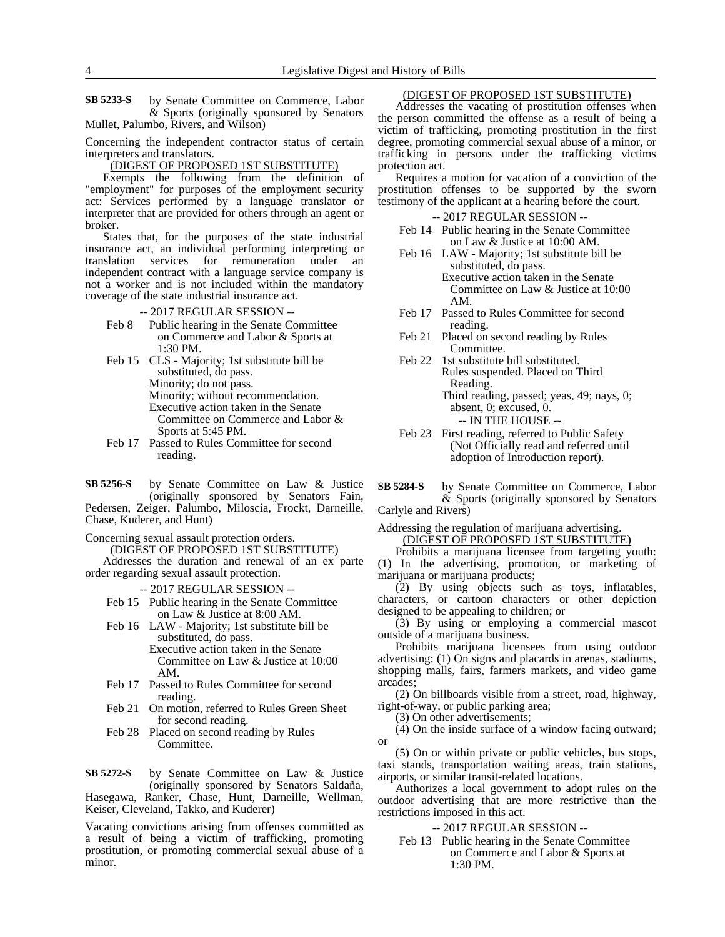by Senate Committee on Commerce, Labor & Sports (originally sponsored by Senators Mullet, Palumbo, Rivers, and Wilson) **SB 5233-S**

Concerning the independent contractor status of certain interpreters and translators.

#### (DIGEST OF PROPOSED 1ST SUBSTITUTE)

Exempts the following from the definition of "employment" for purposes of the employment security act: Services performed by a language translator or interpreter that are provided for others through an agent or broker.

States that, for the purposes of the state industrial insurance act, an individual performing interpreting or translation services for remuneration under an independent contract with a language service company is not a worker and is not included within the mandatory coverage of the state industrial insurance act.

-- 2017 REGULAR SESSION --

- Feb 8 Public hearing in the Senate Committee on Commerce and Labor & Sports at 1:30 PM.
- Feb 15 CLS Majority; 1st substitute bill be substituted, do pass. Minority; do not pass. Minority; without recommendation. Executive action taken in the Senate Committee on Commerce and Labor & Sports at 5:45 PM.
- Feb 17 Passed to Rules Committee for second reading.

by Senate Committee on Law & Justice (originally sponsored by Senators Fain, Pedersen, Zeiger, Palumbo, Miloscia, Frockt, Darneille, Chase, Kuderer, and Hunt) **SB 5256-S**

Concerning sexual assault protection orders. (DIGEST OF PROPOSED 1ST SUBSTITUTE)

Addresses the duration and renewal of an ex parte order regarding sexual assault protection.

-- 2017 REGULAR SESSION --

- Feb 15 Public hearing in the Senate Committee on Law & Justice at 8:00 AM.
- Feb 16 LAW Majority; 1st substitute bill be substituted, do pass. Executive action taken in the Senate Committee on Law & Justice at 10:00 AM.
- Feb 17 Passed to Rules Committee for second reading.
- Feb 21 On motion, referred to Rules Green Sheet for second reading.
- Feb 28 Placed on second reading by Rules Committee.

by Senate Committee on Law & Justice (originally sponsored by Senators Saldaña, Hasegawa, Ranker, Chase, Hunt, Darneille, Wellman, Keiser, Cleveland, Takko, and Kuderer) **SB 5272-S**

Vacating convictions arising from offenses committed as a result of being a victim of trafficking, promoting prostitution, or promoting commercial sexual abuse of a minor.

## (DIGEST OF PROPOSED 1ST SUBSTITUTE)

Addresses the vacating of prostitution offenses when the person committed the offense as a result of being a victim of trafficking, promoting prostitution in the first degree, promoting commercial sexual abuse of a minor, or trafficking in persons under the trafficking victims protection act.

Requires a motion for vacation of a conviction of the prostitution offenses to be supported by the sworn testimony of the applicant at a hearing before the court.

-- 2017 REGULAR SESSION --

- Feb 14 Public hearing in the Senate Committee on Law & Justice at 10:00 AM.
- Feb 16 LAW Majority; 1st substitute bill be substituted, do pass. Executive action taken in the Senate Committee on Law & Justice at 10:00 AM.
- Feb 17 Passed to Rules Committee for second reading.
- Feb 21 Placed on second reading by Rules Committee.
- Feb 22 1st substitute bill substituted. Rules suspended. Placed on Third Reading. Third reading, passed; yeas, 49; nays, 0; absent, 0; excused, 0. -- IN THE HOUSE --
- Feb 23 First reading, referred to Public Safety (Not Officially read and referred until adoption of Introduction report).

by Senate Committee on Commerce, Labor & Sports (originally sponsored by Senators **SB 5284-S**

Carlyle and Rivers)

Addressing the regulation of marijuana advertising. (DIGEST OF PROPOSED 1ST SUBSTITUTE)

Prohibits a marijuana licensee from targeting youth:

(1) In the advertising, promotion, or marketing of marijuana or marijuana products;

(2) By using objects such as toys, inflatables, characters, or cartoon characters or other depiction designed to be appealing to children; or

(3) By using or employing a commercial mascot outside of a marijuana business.

Prohibits marijuana licensees from using outdoor advertising: (1) On signs and placards in arenas, stadiums, shopping malls, fairs, farmers markets, and video game arcades;

(2) On billboards visible from a street, road, highway, right-of-way, or public parking area;

(3) On other advertisements;

(4) On the inside surface of a window facing outward; or

(5) On or within private or public vehicles, bus stops, taxi stands, transportation waiting areas, train stations, airports, or similar transit-related locations.

Authorizes a local government to adopt rules on the outdoor advertising that are more restrictive than the restrictions imposed in this act.

-- 2017 REGULAR SESSION --

Feb 13 Public hearing in the Senate Committee on Commerce and Labor & Sports at 1:30 PM.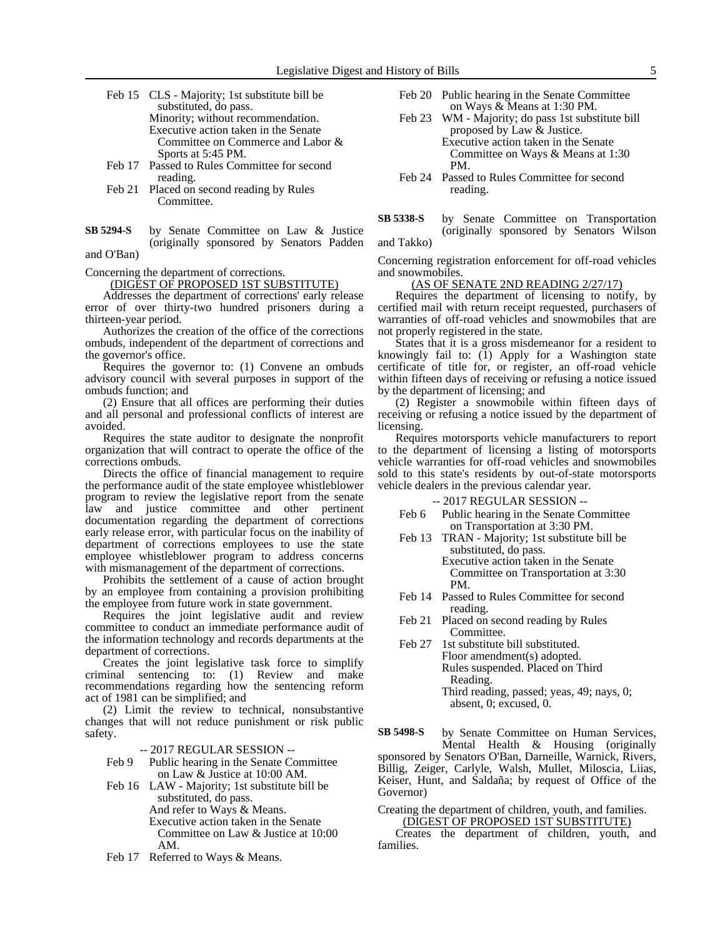- Feb 15 CLS Majority; 1st substitute bill be substituted, do pass. Minority; without recommendation. Executive action taken in the Senate Committee on Commerce and Labor & Sports at 5:45 PM.
- Feb 17 Passed to Rules Committee for second reading.
- Feb 21 Placed on second reading by Rules Committee.
- by Senate Committee on Law & Justice (originally sponsored by Senators Padden **SB 5294-S**

and O'Ban)

Concerning the department of corrections.

(DIGEST OF PROPOSED 1ST SUBSTITUTE)

Addresses the department of corrections' early release error of over thirty-two hundred prisoners during a thirteen-year period.

Authorizes the creation of the office of the corrections ombuds, independent of the department of corrections and the governor's office.

Requires the governor to: (1) Convene an ombuds advisory council with several purposes in support of the ombuds function; and

(2) Ensure that all offices are performing their duties and all personal and professional conflicts of interest are avoided.

Requires the state auditor to designate the nonprofit organization that will contract to operate the office of the corrections ombuds.

Directs the office of financial management to require the performance audit of the state employee whistleblower program to review the legislative report from the senate law and justice committee and other pertinent documentation regarding the department of corrections early release error, with particular focus on the inability of department of corrections employees to use the state employee whistleblower program to address concerns with mismanagement of the department of corrections.

Prohibits the settlement of a cause of action brought by an employee from containing a provision prohibiting the employee from future work in state government.

Requires the joint legislative audit and review committee to conduct an immediate performance audit of the information technology and records departments at the department of corrections.

Creates the joint legislative task force to simplify criminal sentencing to: (1) Review and make recommendations regarding how the sentencing reform act of 1981 can be simplified; and

(2) Limit the review to technical, nonsubstantive changes that will not reduce punishment or risk public safety.

-- 2017 REGULAR SESSION --

- Feb 9 Public hearing in the Senate Committee on Law & Justice at 10:00 AM.
- Feb 16 LAW Majority; 1st substitute bill be substituted, do pass. And refer to Ways & Means.
	- Executive action taken in the Senate Committee on Law & Justice at 10:00 AM.
- Feb 17 Referred to Ways & Means.
- Feb 20 Public hearing in the Senate Committee on Ways & Means at 1:30 PM.
- Feb 23 WM Majority; do pass 1st substitute bill proposed by Law & Justice. Executive action taken in the Senate Committee on Ways & Means at 1:30 PM.
- Feb 24 Passed to Rules Committee for second reading.
- by Senate Committee on Transportation (originally sponsored by Senators Wilson and Takko) **SB 5338-S**

Concerning registration enforcement for off-road vehicles and snowmobiles.

(AS OF SENATE 2ND READING 2/27/17)

Requires the department of licensing to notify, by certified mail with return receipt requested, purchasers of warranties of off-road vehicles and snowmobiles that are not properly registered in the state.

States that it is a gross misdemeanor for a resident to knowingly fail to: (1) Apply for a Washington state certificate of title for, or register, an off-road vehicle within fifteen days of receiving or refusing a notice issued by the department of licensing; and

(2) Register a snowmobile within fifteen days of receiving or refusing a notice issued by the department of licensing.

Requires motorsports vehicle manufacturers to report to the department of licensing a listing of motorsports vehicle warranties for off-road vehicles and snowmobiles sold to this state's residents by out-of-state motorsports vehicle dealers in the previous calendar year.

-- 2017 REGULAR SESSION --

- Feb 6 Public hearing in the Senate Committee on Transportation at 3:30 PM.
- Feb 13 TRAN Majority; 1st substitute bill be substituted, do pass. Executive action taken in the Senate Committee on Transportation at 3:30 PM.
- Feb 14 Passed to Rules Committee for second reading.
- Feb 21 Placed on second reading by Rules Committee.
- Feb 27 1st substitute bill substituted. Floor amendment(s) adopted. Rules suspended. Placed on Third Reading. Third reading, passed; yeas, 49; nays, 0; absent, 0; excused, 0.

by Senate Committee on Human Services, **SB 5498-S**

Mental Health & Housing (originally sponsored by Senators O'Ban, Darneille, Warnick, Rivers, Billig, Zeiger, Carlyle, Walsh, Mullet, Miloscia, Liias, Keiser, Hunt, and Saldaña; by request of Office of the Governor)

Creating the department of children, youth, and families. (DIGEST OF PROPOSED 1ST SUBSTITUTE)

Creates the department of children, youth, and families.